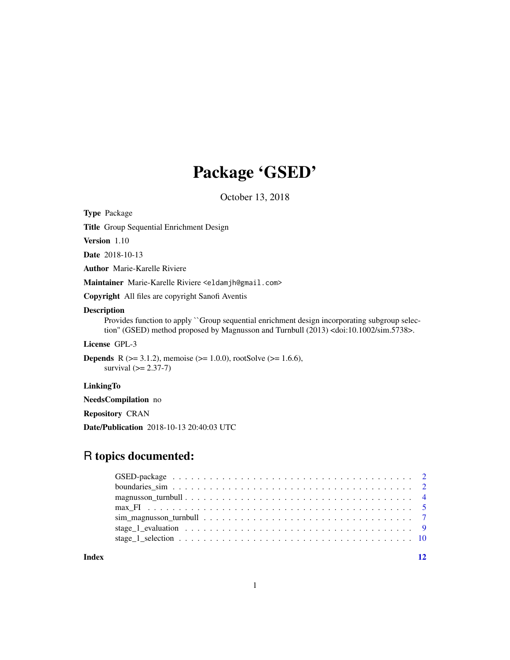# Package 'GSED'

October 13, 2018

Type Package

Title Group Sequential Enrichment Design

Version 1.10

Date 2018-10-13

Author Marie-Karelle Riviere

Maintainer Marie-Karelle Riviere <eldamjh@gmail.com>

Copyright All files are copyright Sanofi Aventis

#### Description

Provides function to apply ``Group sequential enrichment design incorporating subgroup selection'' (GSED) method proposed by Magnusson and Turnbull (2013) <doi:10.1002/sim.5738>.

License GPL-3

**Depends** R ( $>= 3.1.2$ ), memoise ( $>= 1.0.0$ ), rootSolve ( $>= 1.6.6$ ), survival  $(>= 2.37 - 7)$ 

LinkingTo

NeedsCompilation no

Repository CRAN

Date/Publication 2018-10-13 20:40:03 UTC

# R topics documented:

**Index** [12](#page-11-0)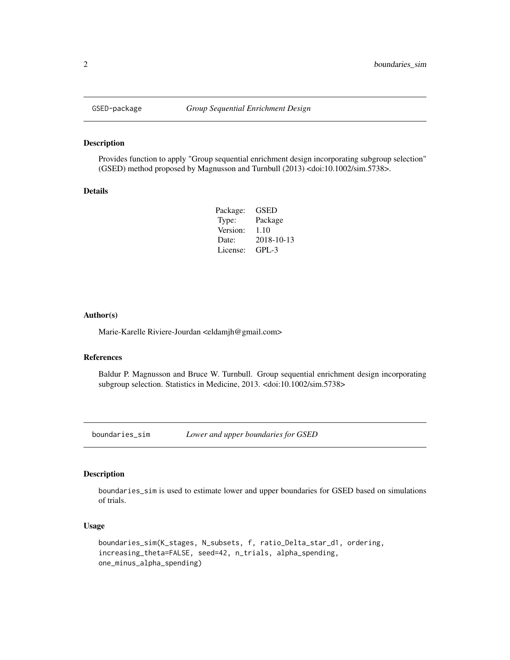<span id="page-1-0"></span>

#### Description

Provides function to apply "Group sequential enrichment design incorporating subgroup selection" (GSED) method proposed by Magnusson and Turnbull (2013) <doi:10.1002/sim.5738>.

#### Details

| Package: | GSED       |
|----------|------------|
| Type:    | Package    |
| Version: | 1.10       |
| Date:    | 2018-10-13 |
| License: | $GPI - 3$  |

#### Author(s)

Marie-Karelle Riviere-Jourdan <eldamjh@gmail.com>

# References

Baldur P. Magnusson and Bruce W. Turnbull. Group sequential enrichment design incorporating subgroup selection. Statistics in Medicine, 2013. <doi:10.1002/sim.5738>

boundaries\_sim *Lower and upper boundaries for GSED*

#### Description

boundaries\_sim is used to estimate lower and upper boundaries for GSED based on simulations of trials.

#### Usage

```
boundaries_sim(K_stages, N_subsets, f, ratio_Delta_star_d1, ordering,
increasing_theta=FALSE, seed=42, n_trials, alpha_spending,
one_minus_alpha_spending)
```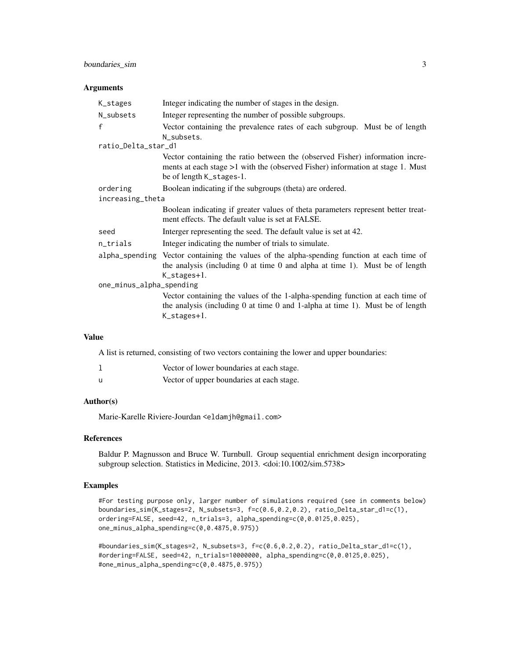# boundaries\_sim 3

#### **Arguments**

| K_stages                 | Integer indicating the number of stages in the design.                                                                                                                                                    |  |
|--------------------------|-----------------------------------------------------------------------------------------------------------------------------------------------------------------------------------------------------------|--|
| N_subsets                | Integer representing the number of possible subgroups.                                                                                                                                                    |  |
| $\mathbf{f}$             | Vector containing the prevalence rates of each subgroup. Must be of length<br>N_subsets.                                                                                                                  |  |
| ratio_Delta_star_d1      |                                                                                                                                                                                                           |  |
|                          | Vector containing the ratio between the (observed Fisher) information incre-<br>ments at each stage >1 with the (observed Fisher) information at stage 1. Must<br>be of length K_stages-1.                |  |
| ordering                 | Boolean indicating if the subgroups (theta) are ordered.                                                                                                                                                  |  |
| increasing_theta         |                                                                                                                                                                                                           |  |
|                          | Boolean indicating if greater values of theta parameters represent better treat-<br>ment effects. The default value is set at FALSE.                                                                      |  |
| seed                     | Interger representing the seed. The default value is set at 42.                                                                                                                                           |  |
| n_trials                 | Integer indicating the number of trials to simulate.                                                                                                                                                      |  |
|                          | alpha_spending Vector containing the values of the alpha-spending function at each time of<br>the analysis (including $0$ at time $0$ and alpha at time 1). Must be of length<br>$K_{\text{-stages+1}}$ . |  |
| one_minus_alpha_spending |                                                                                                                                                                                                           |  |
|                          | Vector containing the values of the 1-alpha-spending function at each time of<br>the analysis (including $0$ at time $0$ and 1-alpha at time 1). Must be of length<br>$K_{\text{-stages}+1}$ .            |  |

# Value

A list is returned, consisting of two vectors containing the lower and upper boundaries:

|   | Vector of lower boundaries at each stage. |
|---|-------------------------------------------|
| u | Vector of upper boundaries at each stage. |

#### Author(s)

Marie-Karelle Riviere-Jourdan <eldamjh@gmail.com>

#### References

Baldur P. Magnusson and Bruce W. Turnbull. Group sequential enrichment design incorporating subgroup selection. Statistics in Medicine, 2013. <doi:10.1002/sim.5738>

### Examples

#For testing purpose only, larger number of simulations required (see in comments below) boundaries\_sim(K\_stages=2, N\_subsets=3, f=c(0.6,0.2,0.2), ratio\_Delta\_star\_d1=c(1), ordering=FALSE, seed=42, n\_trials=3, alpha\_spending=c(0,0.0125,0.025), one\_minus\_alpha\_spending=c(0,0.4875,0.975))

```
#boundaries_sim(K_stages=2, N_subsets=3, f=c(0.6,0.2,0.2), ratio_Delta_star_d1=c(1),
#ordering=FALSE, seed=42, n_trials=10000000, alpha_spending=c(0,0.0125,0.025),
#one_minus_alpha_spending=c(0,0.4875,0.975))
```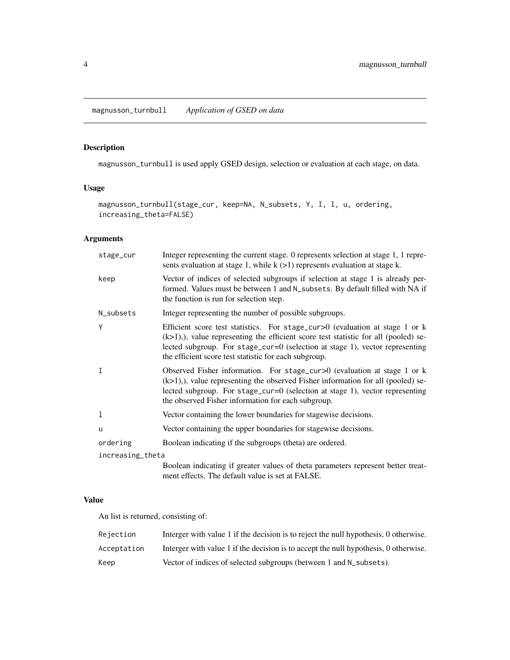# <span id="page-3-0"></span>Description

magnusson\_turnbull is used apply GSED design, selection or evaluation at each stage, on data.

# Usage

magnusson\_turnbull(stage\_cur, keep=NA, N\_subsets, Y, I, l, u, ordering, increasing\_theta=FALSE)

# Arguments

| stage_cur        | Integer representing the current stage. 0 represents selection at stage 1, 1 repre-<br>sents evaluation at stage 1, while $k$ ( $>1$ ) represents evaluation at stage k.                                                                                                                                        |
|------------------|-----------------------------------------------------------------------------------------------------------------------------------------------------------------------------------------------------------------------------------------------------------------------------------------------------------------|
| keep             | Vector of indices of selected subgroups if selection at stage 1 is already per-<br>formed. Values must be between 1 and N_subsets. By default filled with NA if<br>the function is run for selection step.                                                                                                      |
| N_subsets        | Integer representing the number of possible subgroups.                                                                                                                                                                                                                                                          |
| Υ                | Efficient score test statistics. For stage_cur>0 (evaluation at stage 1 or k<br>$(k>1)$ ,), value representing the efficient score test statistic for all (pooled) se-<br>lected subgroup. For stage_cur=0 (selection at stage 1), vector representing<br>the efficient score test statistic for each subgroup. |
| I                | Observed Fisher information. For stage_cur>0 (evaluation at stage 1 or k<br>$(k>1)$ ,), value representing the observed Fisher information for all (pooled) se-<br>lected subgroup. For stage_cur=0 (selection at stage 1), vector representing<br>the observed Fisher information for each subgroup.           |
| 1                | Vector containing the lower boundaries for stagewise decisions.                                                                                                                                                                                                                                                 |
| u                | Vector containing the upper boundaries for stagewise decisions.                                                                                                                                                                                                                                                 |
| ordering         | Boolean indicating if the subgroups (theta) are ordered.                                                                                                                                                                                                                                                        |
| increasing_theta |                                                                                                                                                                                                                                                                                                                 |
|                  | Boolean indicating if greater values of theta parameters represent better treat-<br>ment effects. The default value is set at FALSE.                                                                                                                                                                            |

# Value

An list is returned, consisting of:

| Reiection   | Interger with value 1 if the decision is to reject the null hypothesis, 0 otherwise. |
|-------------|--------------------------------------------------------------------------------------|
| Acceptation | Interger with value 1 if the decision is to accept the null hypothesis, 0 otherwise. |
| Keep        | Vector of indices of selected subgroups (between 1 and N_subsets).                   |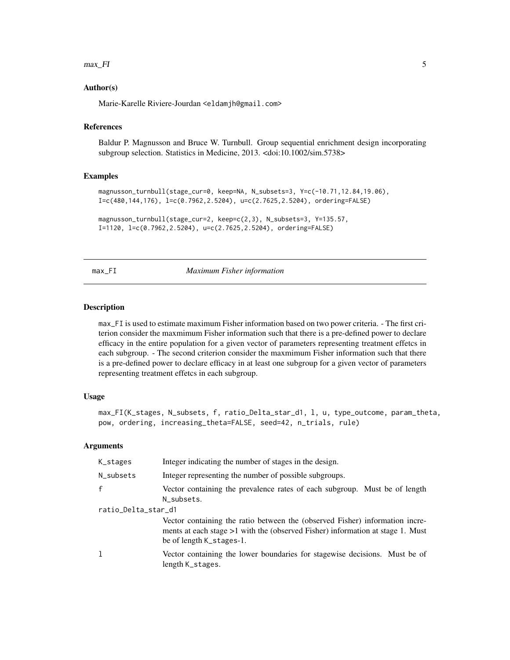#### <span id="page-4-0"></span> $max\_FI$  5

#### Author(s)

Marie-Karelle Riviere-Jourdan <eldamjh@gmail.com>

#### References

Baldur P. Magnusson and Bruce W. Turnbull. Group sequential enrichment design incorporating subgroup selection. Statistics in Medicine, 2013. <doi:10.1002/sim.5738>

#### Examples

```
magnusson_turnbull(stage_cur=0, keep=NA, N_subsets=3, Y=c(-10.71,12.84,19.06),
I=c(480,144,176), l=c(0.7962,2.5204), u=c(2.7625,2.5204), ordering=FALSE)
```

```
magnusson_turnbull(stage_cur=2, keep=c(2,3), N_subsets=3, Y=135.57,
I=1120, l=c(0.7962,2.5204), u=c(2.7625,2.5204), ordering=FALSE)
```
#### max\_FI *Maximum Fisher information*

# Description

max\_FI is used to estimate maximum Fisher information based on two power criteria. - The first criterion consider the maxmimum Fisher information such that there is a pre-defined power to declare efficacy in the entire population for a given vector of parameters representing treatment effetcs in each subgroup. - The second criterion consider the maxmimum Fisher information such that there is a pre-defined power to declare efficacy in at least one subgroup for a given vector of parameters representing treatment effetcs in each subgroup.

#### Usage

```
max_FI(K_stages, N_subsets, f, ratio_Delta_star_d1, l, u, type_outcome, param_theta,
pow, ordering, increasing_theta=FALSE, seed=42, n_trials, rule)
```
#### Arguments

| K_stages            | Integer indicating the number of stages in the design.                                                                                                                                       |  |
|---------------------|----------------------------------------------------------------------------------------------------------------------------------------------------------------------------------------------|--|
| N_subsets           | Integer representing the number of possible subgroups.                                                                                                                                       |  |
| $\mathbf{f}$        | Vector containing the prevalence rates of each subgroup. Must be of length<br>N subsets.                                                                                                     |  |
| ratio_Delta_star_d1 |                                                                                                                                                                                              |  |
|                     | Vector containing the ratio between the (observed Fisher) information incre-<br>ments at each stage $>1$ with the (observed Fisher) information at stage 1. Must<br>be of length K_stages-1. |  |
| <b>T</b>            | Vector containing the lower boundaries for stagewise decisions. Must be of<br>length K_stages.                                                                                               |  |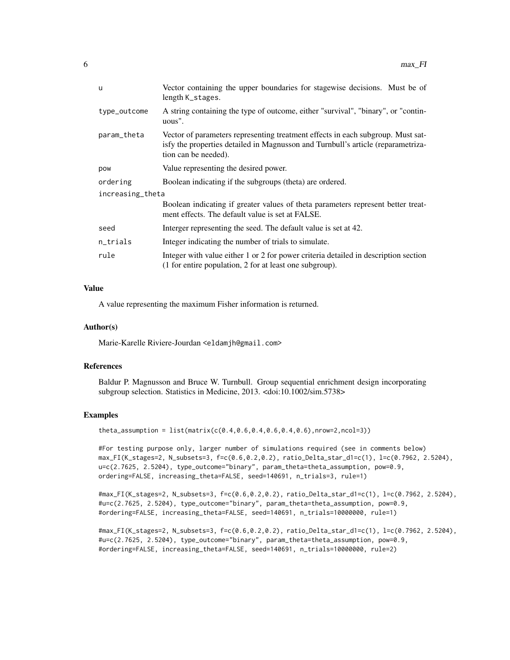| <b>u</b>         | Vector containing the upper boundaries for stagewise decisions. Must be of<br>length K_stages.                                                                                              |  |
|------------------|---------------------------------------------------------------------------------------------------------------------------------------------------------------------------------------------|--|
| type_outcome     | A string containing the type of outcome, either "survival", "binary", or "contin-<br>uous".                                                                                                 |  |
| param_theta      | Vector of parameters representing treatment effects in each subgroup. Must sat-<br>isfy the properties detailed in Magnusson and Turnbull's article (reparametriza-<br>tion can be needed). |  |
| pow              | Value representing the desired power.                                                                                                                                                       |  |
| ordering         | Boolean indicating if the subgroups (theta) are ordered.                                                                                                                                    |  |
| increasing_theta |                                                                                                                                                                                             |  |
|                  | Boolean indicating if greater values of theta parameters represent better treat-<br>ment effects. The default value is set at FALSE.                                                        |  |
| seed             | Interger representing the seed. The default value is set at 42.                                                                                                                             |  |
| n_trials         | Integer indicating the number of trials to simulate.                                                                                                                                        |  |
| rule             | Integer with value either 1 or 2 for power criteria detailed in description section<br>(1 for entire population, 2 for at least one subgroup).                                              |  |

# Value

A value representing the maximum Fisher information is returned.

#### Author(s)

Marie-Karelle Riviere-Jourdan <eldamjh@gmail.com>

#### References

Baldur P. Magnusson and Bruce W. Turnbull. Group sequential enrichment design incorporating subgroup selection. Statistics in Medicine, 2013. <doi:10.1002/sim.5738>

#### Examples

theta\_assumption = list(matrix(c(0.4,0.6,0.4,0.6,0.4,0.6),nrow=2,ncol=3))

#For testing purpose only, larger number of simulations required (see in comments below) max\_FI(K\_stages=2, N\_subsets=3, f=c(0.6,0.2,0.2), ratio\_Delta\_star\_d1=c(1), l=c(0.7962, 2.5204), u=c(2.7625, 2.5204), type\_outcome="binary", param\_theta=theta\_assumption, pow=0.9, ordering=FALSE, increasing\_theta=FALSE, seed=140691, n\_trials=3, rule=1)

#max\_FI(K\_stages=2, N\_subsets=3, f=c(0.6,0.2,0.2), ratio\_Delta\_star\_d1=c(1), l=c(0.7962, 2.5204), #u=c(2.7625, 2.5204), type\_outcome="binary", param\_theta=theta\_assumption, pow=0.9, #ordering=FALSE, increasing\_theta=FALSE, seed=140691, n\_trials=10000000, rule=1)

#max\_FI(K\_stages=2, N\_subsets=3, f=c(0.6,0.2,0.2), ratio\_Delta\_star\_d1=c(1), l=c(0.7962, 2.5204), #u=c(2.7625, 2.5204), type\_outcome="binary", param\_theta=theta\_assumption, pow=0.9, #ordering=FALSE, increasing\_theta=FALSE, seed=140691, n\_trials=10000000, rule=2)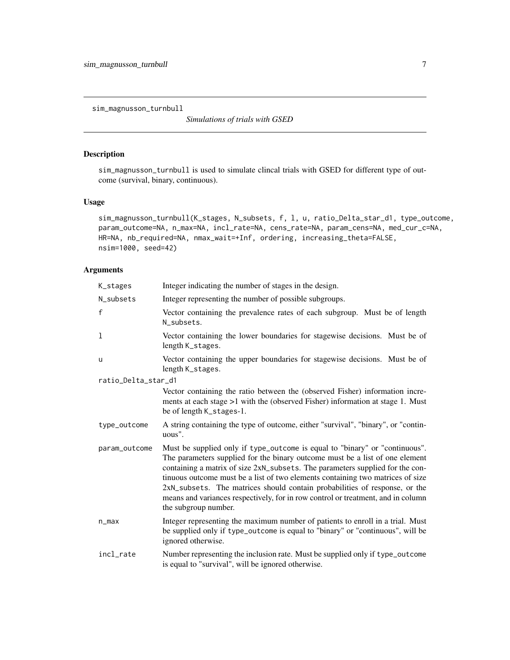<span id="page-6-0"></span>sim\_magnusson\_turnbull

*Simulations of trials with GSED*

# Description

sim\_magnusson\_turnbull is used to simulate clincal trials with GSED for different type of outcome (survival, binary, continuous).

# Usage

```
sim_magnusson_turnbull(K_stages, N_subsets, f, l, u, ratio_Delta_star_d1, type_outcome,
param_outcome=NA, n_max=NA, incl_rate=NA, cens_rate=NA, param_cens=NA, med_cur_c=NA,
HR=NA, nb_required=NA, nmax_wait=+Inf, ordering, increasing_theta=FALSE,
nsim=1000, seed=42)
```
# Arguments

| K_stages            | Integer indicating the number of stages in the design.                                                                                                                                                                                                                                                                                                                                                                                                                                                                   |
|---------------------|--------------------------------------------------------------------------------------------------------------------------------------------------------------------------------------------------------------------------------------------------------------------------------------------------------------------------------------------------------------------------------------------------------------------------------------------------------------------------------------------------------------------------|
| N_subsets           | Integer representing the number of possible subgroups.                                                                                                                                                                                                                                                                                                                                                                                                                                                                   |
| f                   | Vector containing the prevalence rates of each subgroup. Must be of length<br>N_subsets.                                                                                                                                                                                                                                                                                                                                                                                                                                 |
| $\mathbf 1$         | Vector containing the lower boundaries for stagewise decisions. Must be of<br>length K_stages.                                                                                                                                                                                                                                                                                                                                                                                                                           |
| u                   | Vector containing the upper boundaries for stagewise decisions. Must be of<br>length K_stages.                                                                                                                                                                                                                                                                                                                                                                                                                           |
| ratio_Delta_star_d1 |                                                                                                                                                                                                                                                                                                                                                                                                                                                                                                                          |
|                     | Vector containing the ratio between the (observed Fisher) information incre-<br>ments at each stage >1 with the (observed Fisher) information at stage 1. Must<br>be of length K_stages-1.                                                                                                                                                                                                                                                                                                                               |
| type_outcome        | A string containing the type of outcome, either "survival", "binary", or "contin-<br>uous".                                                                                                                                                                                                                                                                                                                                                                                                                              |
| param_outcome       | Must be supplied only if type_outcome is equal to "binary" or "continuous".<br>The parameters supplied for the binary outcome must be a list of one element<br>containing a matrix of size 2xN_subsets. The parameters supplied for the con-<br>tinuous outcome must be a list of two elements containing two matrices of size<br>2xN_subsets. The matrices should contain probabilities of response, or the<br>means and variances respectively, for in row control or treatment, and in column<br>the subgroup number. |
| $n_{max}$           | Integer representing the maximum number of patients to enroll in a trial. Must<br>be supplied only if type_outcome is equal to "binary" or "continuous", will be<br>ignored otherwise.                                                                                                                                                                                                                                                                                                                                   |
| incl_rate           | Number representing the inclusion rate. Must be supplied only if type_outcome<br>is equal to "survival", will be ignored otherwise.                                                                                                                                                                                                                                                                                                                                                                                      |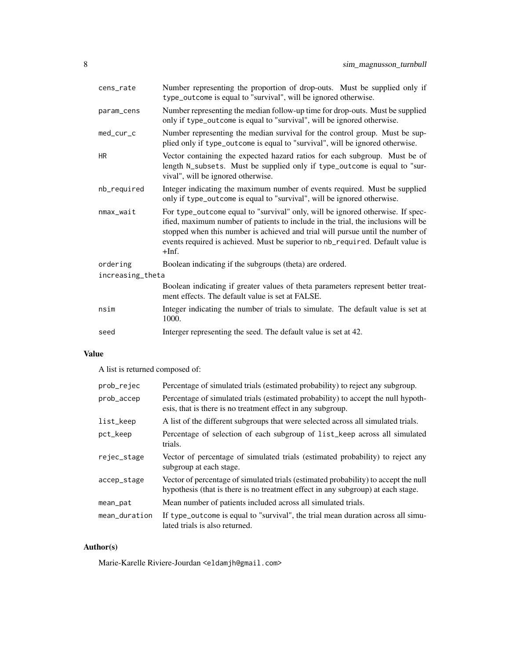| cens_rate              | Number representing the proportion of drop-outs. Must be supplied only if<br>type_outcome is equal to "survival", will be ignored otherwise.                                                                                                                                                                                                       |  |
|------------------------|----------------------------------------------------------------------------------------------------------------------------------------------------------------------------------------------------------------------------------------------------------------------------------------------------------------------------------------------------|--|
| param_cens             | Number representing the median follow-up time for drop-outs. Must be supplied<br>only if type_outcome is equal to "survival", will be ignored otherwise.                                                                                                                                                                                           |  |
| med_cur_c              | Number representing the median survival for the control group. Must be sup-<br>plied only if type_outcome is equal to "survival", will be ignored otherwise.                                                                                                                                                                                       |  |
| <b>HR</b>              | Vector containing the expected hazard ratios for each subgroup. Must be of<br>length N_subsets. Must be supplied only if type_outcome is equal to "sur-<br>vival", will be ignored otherwise.                                                                                                                                                      |  |
| nb_required            | Integer indicating the maximum number of events required. Must be supplied<br>only if type_outcome is equal to "survival", will be ignored otherwise.                                                                                                                                                                                              |  |
| $nmax$ <sub>wait</sub> | For type_outcome equal to "survival" only, will be ignored otherwise. If spec-<br>ified, maximum number of patients to include in the trial, the inclusions will be<br>stopped when this number is achieved and trial will pursue until the number of<br>events required is achieved. Must be superior to nb_required. Default value is<br>$+Inf.$ |  |
| ordering               | Boolean indicating if the subgroups (theta) are ordered.                                                                                                                                                                                                                                                                                           |  |
| increasing_theta       |                                                                                                                                                                                                                                                                                                                                                    |  |
|                        | Boolean indicating if greater values of theta parameters represent better treat-<br>ment effects. The default value is set at FALSE.                                                                                                                                                                                                               |  |
| nsim                   | Integer indicating the number of trials to simulate. The default value is set at<br>1000.                                                                                                                                                                                                                                                          |  |
| seed                   | Interger representing the seed. The default value is set at 42.                                                                                                                                                                                                                                                                                    |  |

# Value

A list is returned composed of:

| prob_rejec    | Percentage of simulated trials (estimated probability) to reject any subgroup.                                                                                          |
|---------------|-------------------------------------------------------------------------------------------------------------------------------------------------------------------------|
| prob_accep    | Percentage of simulated trials (estimated probability) to accept the null hypoth-<br>esis, that is there is no treatment effect in any subgroup.                        |
| list_keep     | A list of the different subgroups that were selected across all simulated trials.                                                                                       |
| pct_keep      | Percentage of selection of each subgroup of list_keep across all simulated<br>trials.                                                                                   |
| rejec_stage   | Vector of percentage of simulated trials (estimated probability) to reject any<br>subgroup at each stage.                                                               |
| accep_stage   | Vector of percentage of simulated trials (estimated probability) to accept the null<br>hypothesis (that is there is no treatment effect in any subgroup) at each stage. |
| mean_pat      | Mean number of patients included across all simulated trials.                                                                                                           |
| mean_duration | If type_outcome is equal to "survival", the trial mean duration across all simu-<br>lated trials is also returned.                                                      |

# Author(s)

Marie-Karelle Riviere-Jourdan <eldamjh@gmail.com>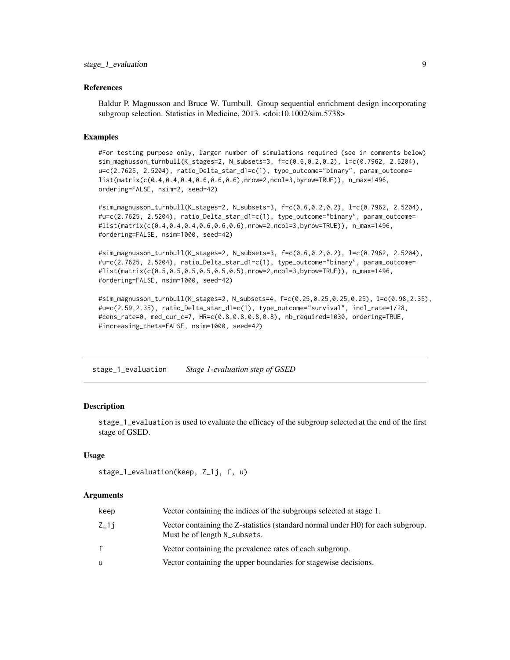#### <span id="page-8-0"></span>References

Baldur P. Magnusson and Bruce W. Turnbull. Group sequential enrichment design incorporating subgroup selection. Statistics in Medicine, 2013. <doi:10.1002/sim.5738>

# Examples

#For testing purpose only, larger number of simulations required (see in comments below) sim\_magnusson\_turnbull(K\_stages=2, N\_subsets=3, f=c(0.6,0.2,0.2), l=c(0.7962, 2.5204), u=c(2.7625, 2.5204), ratio\_Delta\_star\_d1=c(1), type\_outcome="binary", param\_outcome= list(matrix(c(0.4,0.4,0.4,0.6,0.6,0.6),nrow=2,ncol=3,byrow=TRUE)), n\_max=1496, ordering=FALSE, nsim=2, seed=42)

#sim\_magnusson\_turnbull(K\_stages=2, N\_subsets=3, f=c(0.6,0.2,0.2), l=c(0.7962, 2.5204), #u=c(2.7625, 2.5204), ratio\_Delta\_star\_d1=c(1), type\_outcome="binary", param\_outcome=  $\text{Hist}(\text{matrix}(c(0.4, 0.4, 0.4, 0.6, 0.6, 0.6), \text{nrow=2}, \text{ncol=3}, \text{byrow=TRUE})), \text{ n_max=1496},$ #ordering=FALSE, nsim=1000, seed=42)

#sim\_magnusson\_turnbull(K\_stages=2, N\_subsets=3, f=c(0.6,0.2,0.2), l=c(0.7962, 2.5204), #u=c(2.7625, 2.5204), ratio\_Delta\_star\_d1=c(1), type\_outcome="binary", param\_outcome= #list(matrix(c(0.5,0.5,0.5,0.5,0.5,0.5),nrow=2,ncol=3,byrow=TRUE)), n\_max=1496, #ordering=FALSE, nsim=1000, seed=42)

#sim\_magnusson\_turnbull(K\_stages=2, N\_subsets=4, f=c(0.25,0.25,0.25,0.25), l=c(0.98,2.35), #u=c(2.59,2.35), ratio\_Delta\_star\_d1=c(1), type\_outcome="survival", incl\_rate=1/28, #cens\_rate=0, med\_cur\_c=7, HR=c(0.8,0.8,0.8,0.8), nb\_required=1030, ordering=TRUE, #increasing\_theta=FALSE, nsim=1000, seed=42)

stage\_1\_evaluation *Stage 1-evaluation step of GSED*

#### Description

stage\_1\_evaluation is used to evaluate the efficacy of the subgroup selected at the end of the first stage of GSED.

#### Usage

```
stage_1_evaluation(keep, Z_1j, f, u)
```
#### Arguments

| keep | Vector containing the indices of the subgroups selected at stage 1.                                              |
|------|------------------------------------------------------------------------------------------------------------------|
| Z_1j | Vector containing the Z-statistics (standard normal under H0) for each subgroup.<br>Must be of length N_subsets. |
| f.   | Vector containing the prevalence rates of each subgroup.                                                         |
| u    | Vector containing the upper boundaries for stagewise decisions.                                                  |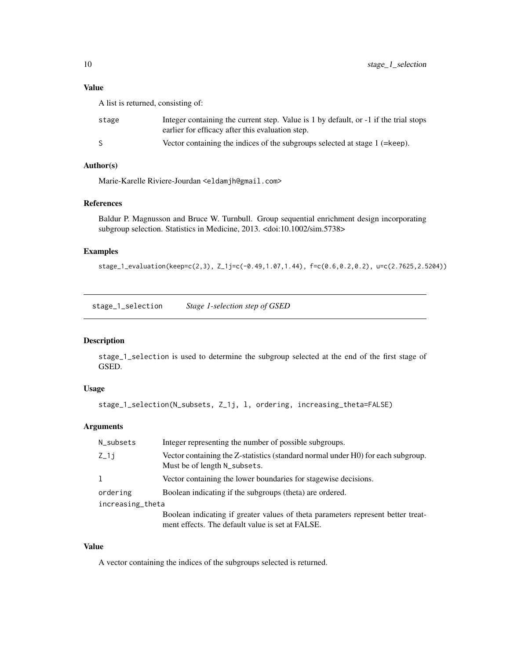# <span id="page-9-0"></span>Value

A list is returned, consisting of:

| stage | Integer containing the current step. Value is 1 by default, or -1 if the trial stops<br>earlier for efficacy after this evaluation step. |
|-------|------------------------------------------------------------------------------------------------------------------------------------------|
|       | Vector containing the indices of the subgroups selected at stage 1 (=keep).                                                              |

# Author(s)

Marie-Karelle Riviere-Jourdan <eldamjh@gmail.com>

#### References

Baldur P. Magnusson and Bruce W. Turnbull. Group sequential enrichment design incorporating subgroup selection. Statistics in Medicine, 2013. <doi:10.1002/sim.5738>

## Examples

stage\_1\_evaluation(keep=c(2,3), Z\_1j=c(-0.49,1.07,1.44), f=c(0.6,0.2,0.2), u=c(2.7625,2.5204))

stage\_1\_selection *Stage 1-selection step of GSED*

#### Description

stage\_1\_selection is used to determine the subgroup selected at the end of the first stage of GSED.

# Usage

stage\_1\_selection(N\_subsets, Z\_1j, l, ordering, increasing\_theta=FALSE)

# Arguments

| N_subsets        | Integer representing the number of possible subgroups.                                                                               |
|------------------|--------------------------------------------------------------------------------------------------------------------------------------|
| $Z_1$ j          | Vector containing the Z-statistics (standard normal under H0) for each subgroup.<br>Must be of length N_subsets.                     |
| 1                | Vector containing the lower boundaries for stagewise decisions.                                                                      |
| ordering         | Boolean indicating if the subgroups (theta) are ordered.                                                                             |
| increasing_theta |                                                                                                                                      |
|                  | Boolean indicating if greater values of theta parameters represent better treat-<br>ment effects. The default value is set at FALSE. |

# Value

A vector containing the indices of the subgroups selected is returned.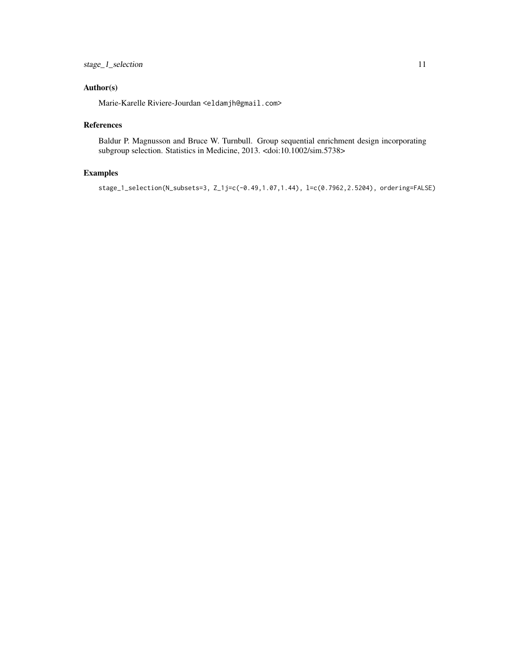# Author(s)

Marie-Karelle Riviere-Jourdan <eldamjh@gmail.com>

### References

Baldur P. Magnusson and Bruce W. Turnbull. Group sequential enrichment design incorporating subgroup selection. Statistics in Medicine, 2013. <doi:10.1002/sim.5738>

# Examples

stage\_1\_selection(N\_subsets=3, Z\_1j=c(-0.49,1.07,1.44), l=c(0.7962,2.5204), ordering=FALSE)